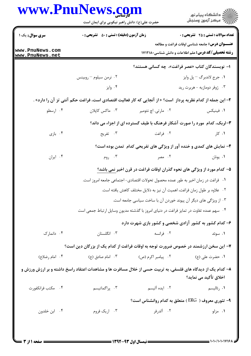|                                    | www.PnuNews.com<br>حضرت علی(ع): دانش راهبر نیکویی برای ایمان است                                             |                     | <br>   <br>   > مرکز آزمون وسنجش                                                                                    |  |
|------------------------------------|--------------------------------------------------------------------------------------------------------------|---------------------|---------------------------------------------------------------------------------------------------------------------|--|
| <b>سری سوال :</b> یک ۱             | زمان آزمون (دقیقه) : تستی : ۵۰٪ تشریحی : ۰                                                                   |                     | <b>تعداد سوالات : تستي : 25 - تشريحي : 0</b>                                                                        |  |
| www.PnuNews.com<br>www.PnuNews.net |                                                                                                              |                     | <b>عنـــوان درس:</b> جامعه شناسی اوقات فراغت و مطالعه<br><b>رشته تحصیلی/کد درس:</b> علم اطلاعات و دانش شناسی1۷۱۲۱۸۰ |  |
|                                    |                                                                                                              |                     | ا– نویسندگان کتاب «عصر فراغت»، چه کسانی هستند؟                                                                      |  |
|                                    | ۰۲ نرمن سیلوم – روبینس                                                                                       |                     | ٠١. جرج لاندبرگ – پل وايز                                                                                           |  |
|                                    | ۰۴ وايز                                                                                                      |                     | ۰۳ ژوفر دومازیه - هربرت رید                                                                                         |  |
|                                    | ۲- این جمله از کدام نظریه پرداز  است؟ « از آنجایی که کار فعالیت اقتصادی است، فراغت حکم آنتی تز آن را دارد» . |                     |                                                                                                                     |  |
| ۰۴ ارسطو                           | ۰۳ ماکس کاپلان                                                                                               | ۰۲ مارتی. اچ نئومیر | ۰۱ فینیکس                                                                                                           |  |
|                                    |                                                                                                              |                     | 4-لربک، کدام مورد را صورت آشکار فرهنگ با طیف گسترده ای از اجزاء می داند؟                                            |  |
| ۰۴ بازی                            | ۰۳ تفریح                                                                                                     | ۰۲ فراغت            | ۰۱ کار                                                                                                              |  |
|                                    |                                                                                                              |                     | ۴- نمایش های کمدی و خنده آور از ویژگی های تفریحی کدام ً تمدن بوده است؟                                              |  |
| ۰۴ ایران                           | ۰۳ روم                                                                                                       | ۰۲ مصر              | ٠١. يونان                                                                                                           |  |
|                                    | ۵– کدام مورد از ویژگی های نحوه گذران اوقات فراغت در قرن اخیر نمی باشد؟                                       |                     |                                                                                                                     |  |
|                                    | ۰۱ فراغت در زمان اخیر به طور عمده محصول تحولات اقتصادی- اجتماعی جامعه امروز است.                             |                     |                                                                                                                     |  |
|                                    |                                                                                                              |                     | ٠٢ علاوه بر طول زمان فراغت، اهميت آن نيز به دلايل مختلف كاهش يافته است.                                             |  |
|                                    |                                                                                                              |                     | ۰۳ از ویژگی های دیگر آن پیوند خوردن آن با ساخت سیاسی جامعه است.                                                     |  |
|                                    | ۰۴ سهم عمده تفاوت در تمایز فراغت در دنیای امروز با گذشته مدیون وسایل ارتباط جمعی است                         |                     |                                                                                                                     |  |
|                                    |                                                                                                              |                     | ۶– کدام کشور به کشور آزادی شخصی و کشور بازی شهرت دارد                                                               |  |
| ۰۴ دانمارک                         | ۰۳ انگلستان                                                                                                  | ۰۲ فرانسه           | ۰۱ سوئد                                                                                                             |  |
|                                    | ۷- این سخن ارزشمند در خصوص ضرورت توجه به اوقات فراغت از کدام یک از بزرگان دین است؟                           |                     |                                                                                                                     |  |
| ۰۴ امام رضا(ع)                     | ۰۳ امام صادق (ع)                                                                                             | ۰۲ پیامبر اکرم (ص)  | ۰۱ حضرت على (ع)                                                                                                     |  |
|                                    | ۸– کدام یک از دیدگاه های فلسفی، به تربیت حسی از خلال مسافرت ها و مشاهدات اعتقاد راسخ داشته و بر ارزش ورزش و  |                     | اخلاق تأكيد مي نمايد؟                                                                                               |  |
| ۰۴ مكتب فرانكفورت                  | ۰۳ پراگماتیسم                                                                                                | ۰۲ ایده آلیسم       | ١. رئاليسم                                                                                                          |  |
|                                    |                                                                                                              |                     | ۹- تئوری معروف (  ERG ) متعلق به کدام روانشناس است؟                                                                 |  |
| ۰۴ ابن خلدون                       | ۰۳ اریک فروم                                                                                                 | ٢. آلدرفر           | ۰۱ مزلو                                                                                                             |  |
|                                    |                                                                                                              |                     |                                                                                                                     |  |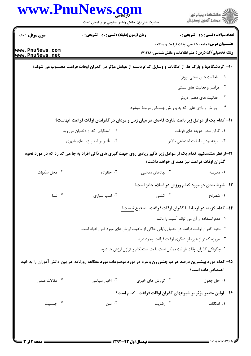| www.PnuNews.com                    | حضرت علی(ع): دانش راهبر نیکویی برای ایمان است                                                                   |                                                                                        | ڪ دانشڪاه پيام نور<br>/> مرڪز آزمون وسنڊش                                                                           |
|------------------------------------|-----------------------------------------------------------------------------------------------------------------|----------------------------------------------------------------------------------------|---------------------------------------------------------------------------------------------------------------------|
| <b>سری سوال : ۱ یک</b>             | <b>زمان آزمون (دقیقه) : تستی : 50 ٪ تشریحی : 0</b>                                                              |                                                                                        | <b>تعداد سوالات : تستی : 25 گشریحی : 0</b>                                                                          |
| www.PnuNews.com<br>www.PnuNews.net |                                                                                                                 |                                                                                        | <b>عنـــوان درس:</b> جامعه شناسی اوقات فراغت و مطالعه<br><b>رشته تحصیلی/کد درس:</b> علم اطلاعات و دانش شناسی1۷۱۲۱۸۰ |
|                                    | ۱۰- گردشگاهها و پارک ها، از امکانات و وسایل کدام دسته از عوامل مؤثر در گذران اوقات فراغت محسوب می شوند؟         |                                                                                        |                                                                                                                     |
|                                    |                                                                                                                 |                                                                                        | ٠١ فعاليت هاى ذهنى برونزا                                                                                           |
|                                    |                                                                                                                 |                                                                                        | ۰۲ مراسم و فعالیت های سنتی                                                                                          |
|                                    |                                                                                                                 |                                                                                        | ۰۳ فعالیت های ذهنی درونزا                                                                                           |
|                                    |                                                                                                                 | ۰۴ ورزش و بازی هایی که به پرورش جسمانی مربوط میشود                                     |                                                                                                                     |
|                                    | 11- کدام یک از عوامل زیر باعث تفاوت فاحش در میان زنان و مردان در گذراندن اوقات فراغت آنهاست؟                    |                                                                                        |                                                                                                                     |
|                                    | ۰۲ انتظاراتی که از دختران می رود                                                                                |                                                                                        | ۰۱ گران شدن هزینه های فراغت                                                                                         |
|                                    | ۰۴ تأثیر برنامه ریزی های شهری                                                                                   |                                                                                        | ۰۳ مرفه بودن طبقات اجتماعي بالاتر                                                                                   |
|                                    | ۱۲–از نظر منتسکیو، کدام یک از عوامل زیر تأثیر زیادی روی جهت گیری های ذاتی افراد به جا می گذارد که در مورد نحوه  |                                                                                        | گذران اوقات فراغت نیز مصداق خواهد داشت؟                                                                             |
| ۰۴ محل سکونت                       | ۰۳ خانواده                                                                                                      | ۰۲ نهادهای مذهبی                                                                       | ۰۱ مدرسه                                                                                                            |
|                                    |                                                                                                                 | ۱۳- شرط بندی در مورد کدام ورزش در اسلام جایز است؟                                      |                                                                                                                     |
| ۰۴ شنا                             | ۰۳ اسب سواری                                                                                                    | ۰۲ کشتی                                                                                | ۰۱ شطرنج                                                                                                            |
|                                    |                                                                                                                 | ۱۴– کدام گزینه در ارتباط با گذران اوقات فراغت، صحیح نیست؟                              |                                                                                                                     |
|                                    |                                                                                                                 |                                                                                        | ٠١ عدم استفاده از آن مي تواند آسيب زا باشد.                                                                         |
|                                    |                                                                                                                 | ٢ . نحوه گذران اوقات فراغت در تحليل پاياني حاكي از ماهيت ارزش هاي مورد قبول افراد است. |                                                                                                                     |
|                                    |                                                                                                                 | ۰۳ امروزه کمتر از هرزمان دیگری اوقات فراغت وجود دارد.                                  |                                                                                                                     |
|                                    |                                                                                                                 | ۰۴ چگونگی گذران اوقات فراغت ممکن است باعث استحکام و تزلزل ارزش ها شود.                 |                                                                                                                     |
|                                    | ۱۵– کدام مورد بیشترین درصد هر دو جنس زن و مرد در مورد موضوعات مورد مطالعه روزنامه ًدر بین دانش آموزان را به خود |                                                                                        | اختصاص داده است؟                                                                                                    |
| ۰۴ مقالات علمي                     | ۰۳ اخبار سیاسی                                                                                                  | ۰۲ گزارش های خبری                                                                      | ۰۱ حل جدول                                                                                                          |
|                                    |                                                                                                                 | ۱۶– اولین متغیر مؤثر بر شیوههای گذران اوقات فراغت، کدام است؟                           |                                                                                                                     |
| ۰۴ جنسیت                           | ۰۳ سن                                                                                                           | ۰۲ رضایت                                                                               | ۰۱ امکانات                                                                                                          |
|                                    |                                                                                                                 |                                                                                        |                                                                                                                     |
|                                    |                                                                                                                 |                                                                                        |                                                                                                                     |